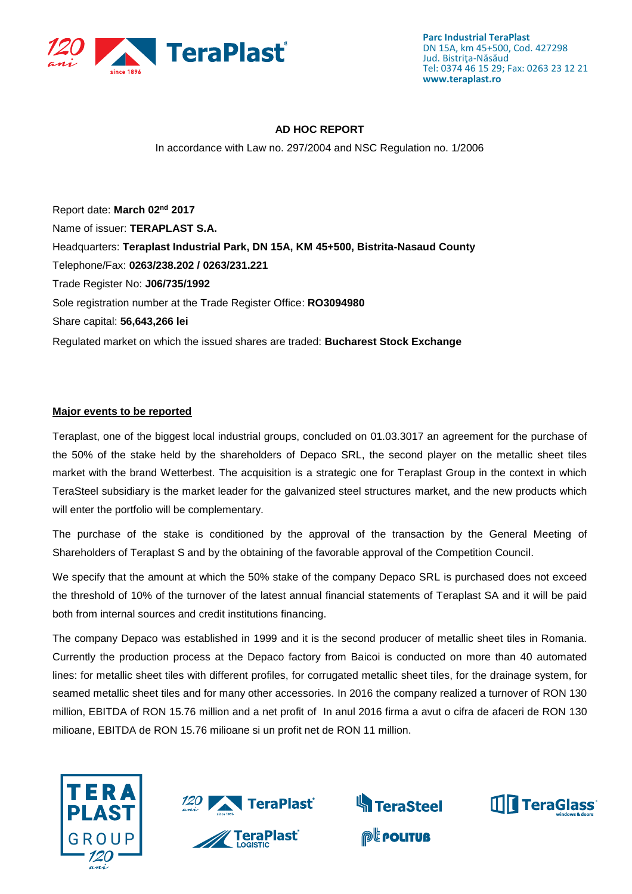

## **AD HOC REPORT**

In accordance with Law no. 297/2004 and NSC Regulation no. 1/2006

Report date: **March 02nd 2017** Name of issuer: **TERAPLAST S.A.**  Headquarters: **Teraplast Industrial Park, DN 15A, KM 45+500, Bistrita-Nasaud County** Telephone/Fax: **0263/238.202 / 0263/231.221** Trade Register No: **J06/735/1992** Sole registration number at the Trade Register Office: **RO3094980** Share capital: **56,643,266 lei**  Regulated market on which the issued shares are traded: **Bucharest Stock Exchange**

## **Major events to be reported**

Teraplast, one of the biggest local industrial groups, concluded on 01.03.3017 an agreement for the purchase of the 50% of the stake held by the shareholders of Depaco SRL, the second player on the metallic sheet tiles market with the brand Wetterbest. The acquisition is a strategic one for Teraplast Group in the context in which TeraSteel subsidiary is the market leader for the galvanized steel structures market, and the new products which will enter the portfolio will be complementary.

The purchase of the stake is conditioned by the approval of the transaction by the General Meeting of Shareholders of Teraplast S and by the obtaining of the favorable approval of the Competition Council.

We specify that the amount at which the 50% stake of the company Depaco SRL is purchased does not exceed the threshold of 10% of the turnover of the latest annual financial statements of Teraplast SA and it will be paid both from internal sources and credit institutions financing.

The company Depaco was established in 1999 and it is the second producer of metallic sheet tiles in Romania. Currently the production process at the Depaco factory from Baicoi is conducted on more than 40 automated lines: for metallic sheet tiles with different profiles, for corrugated metallic sheet tiles, for the drainage system, for seamed metallic sheet tiles and for many other accessories. In 2016 the company realized a turnover of RON 130 million, EBITDA of RON 15.76 million and a net profit of In anul 2016 firma a avut o cifra de afaceri de RON 130 milioane, EBITDA de RON 15.76 milioane si un profit net de RON 11 million.







**@Leouture**